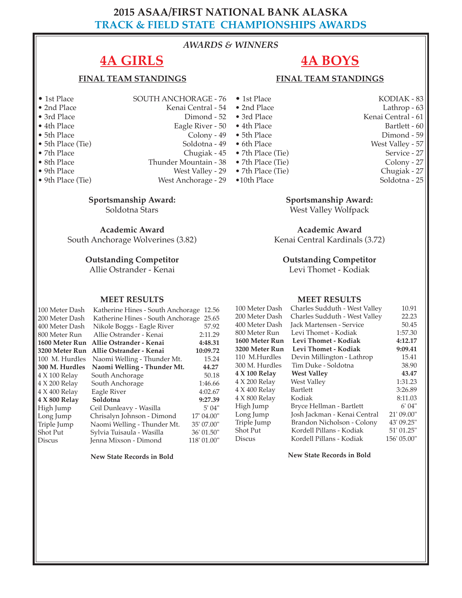# **2015 ASAA/FIRST NATIONAL BANK ALASKA TRACK & FIELD STATE CHAMPIONSHIPS AWARDS**

#### *AWARDS & WINNERS*

# **4A GIRLS**

#### **FINAL TEAM STANDINGS**

- 
- 
- 
- 
- 
- 
- 
- 
- 
- 

• 5th Place (Tie) Soldotna - 49 • 7th Place Chugiak - 45<br>• 8th Place Chunder Mountain - 38 • 8th Place Thunder Mountain - 38<br>• 9th Place West Valley - 29 • 9th Place West Valley - 29<br>• 9th Place (Tie) West Anchorage - 29 West Anchorage - 29

**Sportsmanship Award:**

Soldotna Stars

**Academic Award**

South Anchorage Wolverines (3.82)

#### **Outstanding Competitor**

Allie Ostrander - Kenai

#### **MEET RESULTS**

#### 100 Meter Dash Katherine Hines - South Anchorage 12.56 Katherine Hines - South Anchorage 25.65 400 Meter Dash Nikole Boggs - Eagle River 57.92<br>800 Meter Run Allie Ostrander - Kenai 2:11.29 800 Meter Run Allie Ostrander - Kenai **1600 Meter Run Allie Ostrander - Kenai 4:48.31 3200 Meter Run Allie Ostrander - Kenai 10:09.72** 100 M. Hurdles Naomi Welling - Thunder Mt. 15.24 **300 M. Hurdles Naomi Welling - Thunder Mt. 44.27** 4 X 100 Relay South Anchorage 50.18<br>4 X 200 Relay South Anchorage 1:46.66 South Anchorage<br>Eagle River 4 X 400 Relay Eagle River 4:02.67<br>4 X 800 Relay Soldotna 9:27.39 **4 X 800 Relay Soldotna 9:27.39** Ceil Dunleavy - Wasilla Long Jump Chrisalyn Johnson - Dimond 17' 04.00"<br>Triple Jump Naomi Welling - Thunder Mt. 35' 07.00" Triple Jump Naomi Welling - Thunder Mt. 35' 07.00"<br>Shot Put Sylvia Tuisaula - Wasilla 36' 01.50" Shot Put Sylvia Tuisaula - Wasilla 36' 01.50"<br>Discus Jenna Mixson - Dimond 118' 01.00" Jenna Mixson - Dimond

**New State Records in Bold**

- 1st Place SOUTH ANCHORAGE 76 • 2nd Place Kenai Central - 54<br>• 3rd Place Dimond - 52 Dimond - 52 • 4th Place Eagle River - 50 • 4th Place Bartlett - 60 • 5th Place Colony - 49 • 1st Place KODIAK - 83<br>• 2nd Place Lathrop - 63 • 2nd Place Lathrop - 63 • 5th Place Dimond - 59
	- 6th Place West Valley 57
	- -
	- $\bullet$  7th Place (Tie)
	-
- 7th Place (Tie) Service 27<br>• 7th Place (Tie) Service 27
- •10th Place Soldotna 25
- 7th Place (Tie) Colony 27<br>• 7th Place (Tie) Chugiak 27

Kenai Central - 61<br>Bartlett - 60

#### **Sportsmanship Award:**

West Valley Wolfpack

**Academic Award** Kenai Central Kardinals (3.72)

**Outstanding Competitor** 

Levi Thomet - Kodiak

#### **MEET RESULTS**

| Charles Sudduth - West Valley | 10.91       |
|-------------------------------|-------------|
| Charles Sudduth - West Valley | 22.23       |
| Jack Martensen - Service      | 50.45       |
| Levi Thomet - Kodiak          | 1:57.30     |
| Levi Thomet - Kodiak          | 4:12.17     |
| Levi Thomet - Kodiak          | 9:09.41     |
| Devin Millington - Lathrop    | 15.41       |
| Tim Duke - Soldotna           | 38.90       |
| <b>West Valley</b>            | 43.47       |
| West Valley                   | 1:31.23     |
| <b>Bartlett</b>               | 3:26.89     |
| Kodiak                        | 8:11.03     |
| Bryce Hellman - Bartlett      | 6' 04"      |
| Josh Jackman - Kenai Central  | 21' 09.00"  |
| Brandon Nicholson - Colony    | 43' 09.25"  |
| Kordell Pillans - Kodiak      | 51' 01.25"  |
| Kordell Pillans - Kodiak      | 156' 05.00" |
|                               |             |

**New State Records in Bold**

# **4A BOYS FINAL TEAM STANDINGS**